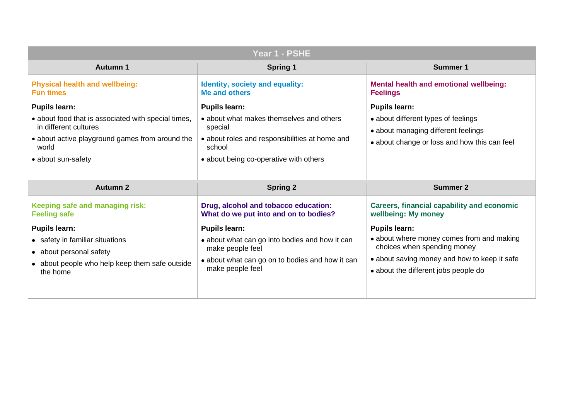| Year 1 - PSHE                                                                                                                                                                          |                                                                                                                                                                                   |                                                                                                                                                     |
|----------------------------------------------------------------------------------------------------------------------------------------------------------------------------------------|-----------------------------------------------------------------------------------------------------------------------------------------------------------------------------------|-----------------------------------------------------------------------------------------------------------------------------------------------------|
| <b>Autumn 1</b>                                                                                                                                                                        | <b>Spring 1</b>                                                                                                                                                                   | <b>Summer 1</b>                                                                                                                                     |
| <b>Physical health and wellbeing:</b><br><b>Fun times</b>                                                                                                                              | <b>Identity, society and equality:</b><br><b>Me and others</b>                                                                                                                    | <b>Mental health and emotional</b><br><b>Feelings</b>                                                                                               |
| <b>Pupils learn:</b><br>• about food that is associated with special times,<br>in different cultures<br>• about active playground games from around the<br>world<br>• about sun-safety | <b>Pupils learn:</b><br>• about what makes themselves and others<br>special<br>• about roles and responsibilities at home and<br>school<br>• about being co-operative with others | <b>Pupils learn:</b><br>• about different types of feelir<br>• about managing different fee<br>• about change or loss and ho                        |
| <b>Autumn 2</b>                                                                                                                                                                        | <b>Spring 2</b>                                                                                                                                                                   | <b>Summer 2</b>                                                                                                                                     |
| Keeping safe and managing risk:<br><b>Feeling safe</b>                                                                                                                                 | Drug, alcohol and tobacco education:<br>What do we put into and on to bodies?                                                                                                     | <b>Careers, financial capability</b><br>wellbeing: My money                                                                                         |
| <b>Pupils learn:</b><br>• safety in familiar situations<br>• about personal safety<br>• about people who help keep them safe outside<br>the home                                       | <b>Pupils learn:</b><br>• about what can go into bodies and how it can<br>make people feel<br>• about what can go on to bodies and how it can<br>make people feel                 | <b>Pupils learn:</b><br>• about where money comes f<br>choices when spending mon<br>• about saving money and how<br>• about the different jobs peop |

### **motional wellbeing:**

- es of feelings
- fferent feelings
- ss and how this can feel

# **Careers, financial capability and economic**

- bout comes from and making ding money
- y and how to keep it safe
- jobs people do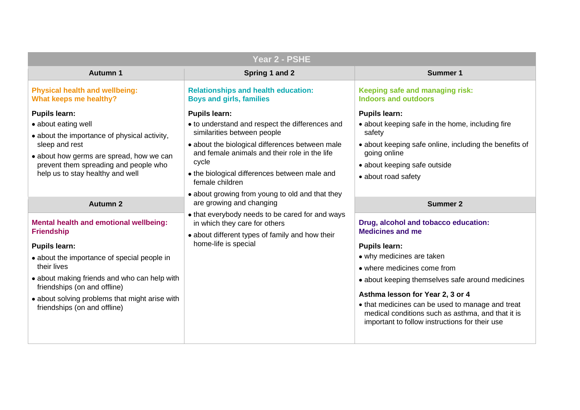| Spring 1 and 2                                                                                                                                                                                                                                                                          | <b>Summer 1</b>                                                                                                                                                                                                                                                                                                           |
|-----------------------------------------------------------------------------------------------------------------------------------------------------------------------------------------------------------------------------------------------------------------------------------------|---------------------------------------------------------------------------------------------------------------------------------------------------------------------------------------------------------------------------------------------------------------------------------------------------------------------------|
|                                                                                                                                                                                                                                                                                         | Keeping safe and managing ri<br><b>Indoors and outdoors</b>                                                                                                                                                                                                                                                               |
| <b>Pupils learn:</b><br>• to understand and respect the differences and<br>similarities between people<br>• about the biological differences between male<br>and female animals and their role in the life<br>cycle<br>• the biological differences between male and<br>female children | <b>Pupils learn:</b><br>• about keeping safe in the hom<br>safety<br>• about keeping safe online, incl<br>going online<br>• about keeping safe outside<br>• about road safety                                                                                                                                             |
|                                                                                                                                                                                                                                                                                         | <b>Summer 2</b>                                                                                                                                                                                                                                                                                                           |
| • that everybody needs to be cared for and ways<br>in which they care for others<br>• about different types of family and how their<br>home-life is special                                                                                                                             | Drug, alcohol and tobacco ed<br><b>Medicines and me</b><br><b>Pupils learn:</b><br>• why medicines are taken<br>• where medicines come from<br>• about keeping themselves safe<br>Asthma lesson for Year 2, 3 or<br>• that medicines can be used to<br>medical conditions such as ast<br>important to follow instructions |
|                                                                                                                                                                                                                                                                                         | <b>Relationships and health education:</b><br><b>Boys and girls, families</b><br>• about growing from young to old and that they<br>are growing and changing                                                                                                                                                              |

### **Aging risk:**

he home, including fire

ine, including the benefits of

### **Drug education:**

ves safe around medicines

### **A** 2, 3 or 4

used to manage and treat  $\ln$  as asthma, and that it is ructions for their use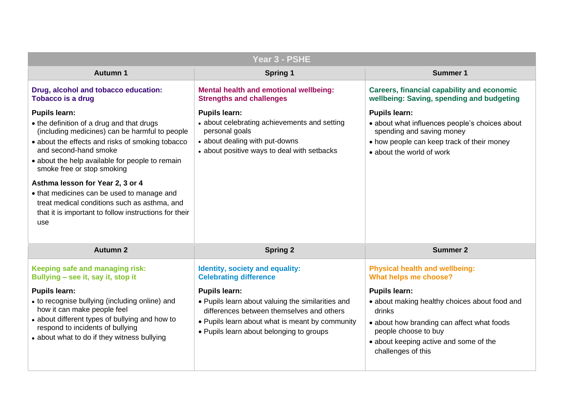### **Careers, financial capability and economic wellbeing: Saving, spending and budgeting**

es people's choices about money p track of their money ork<sup>.</sup>

### **wellbeing: Se?**

y choices about food and

can affect what foods and some of the

| Year 3 - PSHE                                                                                                                                                                                                                                                                                                                                                                                                                                                                |                                                                                                                                                                                                                       |                                                                                                                                                                                   |
|------------------------------------------------------------------------------------------------------------------------------------------------------------------------------------------------------------------------------------------------------------------------------------------------------------------------------------------------------------------------------------------------------------------------------------------------------------------------------|-----------------------------------------------------------------------------------------------------------------------------------------------------------------------------------------------------------------------|-----------------------------------------------------------------------------------------------------------------------------------------------------------------------------------|
| <b>Autumn 1</b>                                                                                                                                                                                                                                                                                                                                                                                                                                                              | <b>Spring 1</b>                                                                                                                                                                                                       | <b>Summer 1</b>                                                                                                                                                                   |
| Drug, alcohol and tobacco education:<br><b>Tobacco is a drug</b>                                                                                                                                                                                                                                                                                                                                                                                                             | <b>Mental health and emotional wellbeing:</b><br><b>Strengths and challenges</b>                                                                                                                                      | <b>Careers, financial capability</b><br>wellbeing: Saving, spending                                                                                                               |
| <b>Pupils learn:</b><br>• the definition of a drug and that drugs<br>(including medicines) can be harmful to people<br>• about the effects and risks of smoking tobacco<br>and second-hand smoke<br>• about the help available for people to remain<br>smoke free or stop smoking<br>Asthma lesson for Year 2, 3 or 4<br>• that medicines can be used to manage and<br>treat medical conditions such as asthma, and<br>that it is important to follow instructions for their | <b>Pupils learn:</b><br>• about celebrating achievements and setting<br>personal goals<br>• about dealing with put-downs<br>• about positive ways to deal with setbacks                                               | <b>Pupils learn:</b><br>• about what influences people<br>spending and saving money<br>• how people can keep track o<br>• about the world of work                                 |
| use<br><b>Autumn 2</b>                                                                                                                                                                                                                                                                                                                                                                                                                                                       | <b>Spring 2</b>                                                                                                                                                                                                       | <b>Summer 2</b>                                                                                                                                                                   |
| Keeping safe and managing risk:<br>Bullying - see it, say it, stop it                                                                                                                                                                                                                                                                                                                                                                                                        | Identity, society and equality:<br><b>Celebrating difference</b>                                                                                                                                                      | <b>Physical health and wellbein</b><br>What helps me choose?                                                                                                                      |
| <b>Pupils learn:</b><br>• to recognise bullying (including online) and<br>how it can make people feel<br>• about different types of bullying and how to<br>respond to incidents of bullying<br>• about what to do if they witness bullying                                                                                                                                                                                                                                   | <b>Pupils learn:</b><br>• Pupils learn about valuing the similarities and<br>differences between themselves and others<br>• Pupils learn about what is meant by community<br>• Pupils learn about belonging to groups | <b>Pupils learn:</b><br>• about making healthy choice<br>drinks<br>• about how branding can affer<br>people choose to buy<br>• about keeping active and sor<br>challenges of this |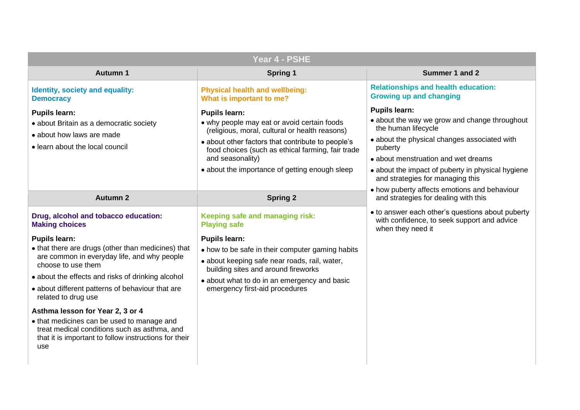- and wet dreams
- about the impact of puberty in physical hygiene
	- emotions and behaviour ealing with this
- to answer each other's questions about puberty with confidence, to seek support and advice

|                                                                                                                                                                                                                                                                                                                                                                                                                                                                                                                                                    | Year 4 - PSHE                                                                                                                                                                                                                                                                                                |                                                                                                                                                                                                                                                 |
|----------------------------------------------------------------------------------------------------------------------------------------------------------------------------------------------------------------------------------------------------------------------------------------------------------------------------------------------------------------------------------------------------------------------------------------------------------------------------------------------------------------------------------------------------|--------------------------------------------------------------------------------------------------------------------------------------------------------------------------------------------------------------------------------------------------------------------------------------------------------------|-------------------------------------------------------------------------------------------------------------------------------------------------------------------------------------------------------------------------------------------------|
| <b>Autumn 1</b>                                                                                                                                                                                                                                                                                                                                                                                                                                                                                                                                    | <b>Spring 1</b>                                                                                                                                                                                                                                                                                              | <b>Summer 1 and 2</b>                                                                                                                                                                                                                           |
| <b>Identity, society and equality:</b><br><b>Democracy</b>                                                                                                                                                                                                                                                                                                                                                                                                                                                                                         | <b>Physical health and wellbeing:</b><br>What is important to me?                                                                                                                                                                                                                                            | <b>Relationships and health educa</b><br><b>Growing up and changing</b>                                                                                                                                                                         |
| <b>Pupils learn:</b><br>• about Britain as a democratic society<br>• about how laws are made<br>• learn about the local council                                                                                                                                                                                                                                                                                                                                                                                                                    | <b>Pupils learn:</b><br>• why people may eat or avoid certain foods<br>(religious, moral, cultural or health reasons)<br>• about other factors that contribute to people's<br>food choices (such as ethical farming, fair trade<br>and seasonality)<br>• about the importance of getting enough sleep        | <b>Pupils learn:</b><br>• about the way we grow and chai<br>the human lifecycle<br>• about the physical changes asse<br>puberty<br>• about menstruation and wet drea<br>• about the impact of puberty in pl<br>and strategies for managing this |
| <b>Autumn 2</b>                                                                                                                                                                                                                                                                                                                                                                                                                                                                                                                                    | <b>Spring 2</b>                                                                                                                                                                                                                                                                                              | • how puberty affects emotions are<br>and strategies for dealing with the                                                                                                                                                                       |
| Drug, alcohol and tobacco education:<br><b>Making choices</b><br><b>Pupils learn:</b><br>• that there are drugs (other than medicines) that<br>are common in everyday life, and why people<br>choose to use them<br>• about the effects and risks of drinking alcohol<br>• about different patterns of behaviour that are<br>related to drug use<br>Asthma lesson for Year 2, 3 or 4<br>• that medicines can be used to manage and<br>treat medical conditions such as asthma, and<br>that it is important to follow instructions for their<br>use | Keeping safe and managing risk:<br><b>Playing safe</b><br><b>Pupils learn:</b><br>• how to be safe in their computer gaming habits<br>• about keeping safe near roads, rail, water,<br>building sites and around fireworks<br>• about what to do in an emergency and basic<br>emergency first-aid procedures | • to answer each other's question<br>with confidence, to seek support<br>when they need it                                                                                                                                                      |

### **Realth education: anging**

row and change throughout

changes associated with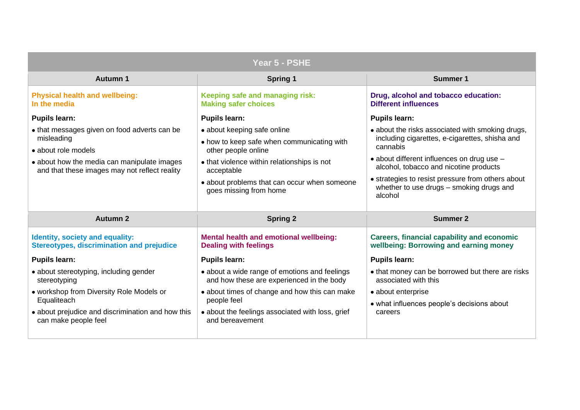|                                                                                              | Year 5 - PSHE                                                                              |                                                                           |
|----------------------------------------------------------------------------------------------|--------------------------------------------------------------------------------------------|---------------------------------------------------------------------------|
| <b>Autumn 1</b>                                                                              | <b>Spring 1</b>                                                                            | <b>Summer 1</b>                                                           |
| <b>Physical health and wellbeing:</b><br>In the media                                        | Keeping safe and managing risk:<br><b>Making safer choices</b>                             | Drug, alcohol and tobacco e<br><b>Different influences</b>                |
| <b>Pupils learn:</b>                                                                         | <b>Pupils learn:</b>                                                                       | <b>Pupils learn:</b>                                                      |
| • that messages given on food adverts can be                                                 | • about keeping safe online                                                                | • about the risks associated w                                            |
| misleading<br>• about role models                                                            | • how to keep safe when communicating with                                                 | including cigarettes, e-cigare<br>cannabis                                |
| • about how the media can manipulate images<br>and that these images may not reflect reality | other people online<br>• that violence within relationships is not<br>acceptable           | • about different influences on<br>alcohol, tobacco and nicotine          |
|                                                                                              | • about problems that can occur when someone<br>goes missing from home                     | • strategies to resist pressure<br>whether to use drugs - smok<br>alcohol |
| <b>Autumn 2</b>                                                                              | <b>Spring 2</b>                                                                            | <b>Summer 2</b>                                                           |
| <b>Identity, society and equality:</b><br><b>Stereotypes, discrimination and prejudice</b>   | <b>Mental health and emotional wellbeing:</b><br><b>Dealing with feelings</b>              | <b>Careers, financial capability</b><br>wellbeing: Borrowing and ea       |
| <b>Pupils learn:</b>                                                                         | <b>Pupils learn:</b>                                                                       | <b>Pupils learn:</b>                                                      |
| · about stereotyping, including gender<br>stereotyping                                       | • about a wide range of emotions and feelings<br>and how these are experienced in the body | • that money can be borrowed<br>associated with this                      |
| • workshop from Diversity Role Models or                                                     | • about times of change and how this can make                                              | • about enterprise                                                        |
| Equaliteach                                                                                  | people feel                                                                                | • what influences people's dec                                            |
| • about prejudice and discrimination and how this<br>can make people feel                    | • about the feelings associated with loss, grief                                           | careers                                                                   |
|                                                                                              | and bereavement                                                                            |                                                                           |

## **bacco education:**

eriated with smoking drugs, e-cigarettes, shisha and

ences on drug use  $$ d nicotine products

effessure from others about  $\textsf{ys} - \textsf{smoking}$  drugs and

### **Careers, financial capability and economic wellbeing: Borrowing and earning money**

borrowed but there are risks

ple's decisions about